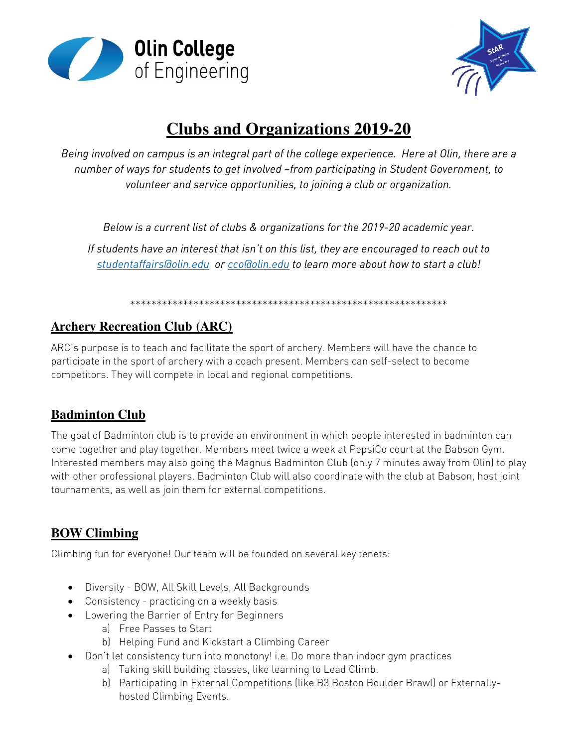



# **Clubs and Organizations 2019-20**

*Being involved on campus is an integral part of the college experience. Here at Olin, there are a number of ways for students to get involved –from participating in Student Government, to volunteer and service opportunities, to joining a club or organization.*

*Below is a current list of clubs & organizations for the 2019-20 academic year.* 

*If students have an interest that isn't on this list, they are encouraged to reach out to [studentaffairs@olin.edu](mailto:studentaffairs@olin.edu) or [cco@olin.edu](mailto:cco@olin.edu) to learn more about how to start a club!*

#### \*\*\*\*\*\*\*\*\*\*\*\*\*\*\*\*\*\*\*\*\*\*\*\*\*\*\*\*\*\*\*\*\*\*\*\*\*\*\*\*\*\*\*\*\*\*\*\*\*\*\*\*\*\*\*\*\*\*\*\*

#### **Archery Recreation Club (ARC)**

ARC's purpose is to teach and facilitate the sport of archery. Members will have the chance to participate in the sport of archery with a coach present. Members can self-select to become competitors. They will compete in local and regional competitions.

# **Badminton Club**

The goal of Badminton club is to provide an environment in which people interested in badminton can come together and play together. Members meet twice a week at PepsiCo court at the Babson Gym. Interested members may also going the Magnus Badminton Club (only 7 minutes away from Olin) to play with other professional players. Badminton Club will also coordinate with the club at Babson, host joint tournaments, as well as join them for external competitions.

# **BOW Climbing**

Climbing fun for everyone! Our team will be founded on several key tenets:

- Diversity BOW, All Skill Levels, All Backgrounds
- Consistency practicing on a weekly basis
- Lowering the Barrier of Entry for Beginners
	- a) Free Passes to Start
	- b) Helping Fund and Kickstart a Climbing Career
- Don't let consistency turn into monotony! i.e. Do more than indoor gym practices
	- a) Taking skill building classes, like learning to Lead Climb.
	- b) Participating in External Competitions (like B3 Boston Boulder Brawl) or Externallyhosted Climbing Events.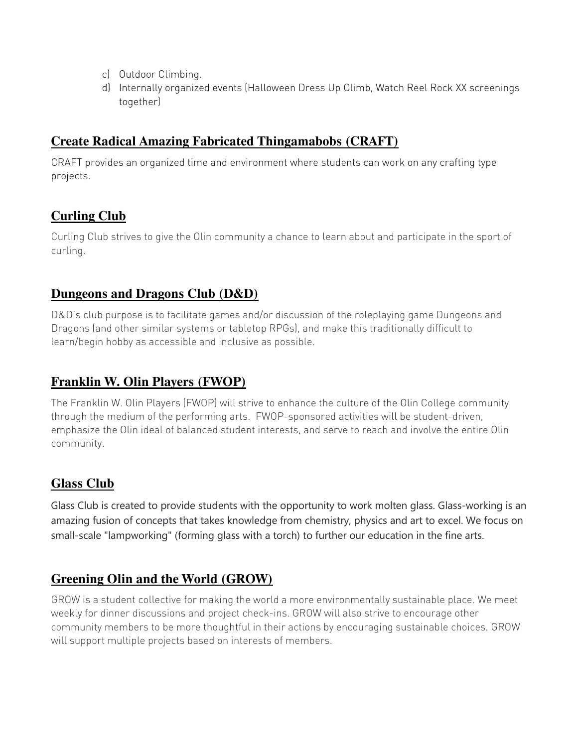- c) Outdoor Climbing.
- d) Internally organized events (Halloween Dress Up Climb, Watch Reel Rock XX screenings together)

#### **Create Radical Amazing Fabricated Thingamabobs (CRAFT)**

CRAFT provides an organized time and environment where students can work on any crafting type projects.

# **Curling Club**

Curling Club strives to give the Olin community a chance to learn about and participate in the sport of curling.

# **Dungeons and Dragons Club (D&D)**

D&D's club purpose is to facilitate games and/or discussion of the roleplaying game Dungeons and Dragons (and other similar systems or tabletop RPGs), and make this traditionally difficult to learn/begin hobby as accessible and inclusive as possible.

# **Franklin W. Olin Players (FWOP)**

The Franklin W. Olin Players (FWOP) will strive to enhance the culture of the Olin College community through the medium of the performing arts. FWOP-sponsored activities will be student-driven, emphasize the Olin ideal of balanced student interests, and serve to reach and involve the entire Olin community.

# **Glass Club**

Glass Club is created to provide students with the opportunity to work molten glass. Glass-working is an amazing fusion of concepts that takes knowledge from chemistry, physics and art to excel. We focus on small-scale "lampworking" (forming glass with a torch) to further our education in the fine arts.

# **Greening Olin and the World (GROW)**

GROW is a student collective for making the world a more environmentally sustainable place. We meet weekly for dinner discussions and project check-ins. GROW will also strive to encourage other community members to be more thoughtful in their actions by encouraging sustainable choices. GROW will support multiple projects based on interests of members.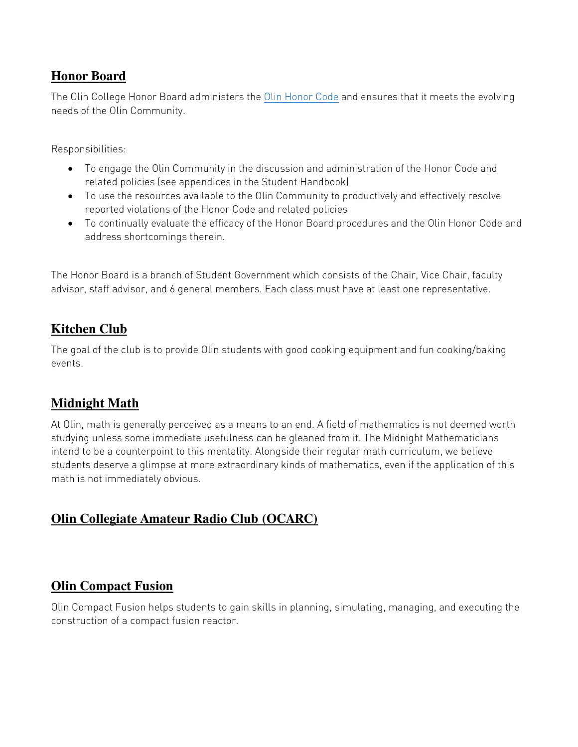#### **Honor Board**

The Olin College Honor Board administers the [Olin Honor Code](https://www.olin.edu/academic-life/student-affairs-resources/student-life/honor-code/) and ensures that it meets the evolving needs of the Olin Community.

Responsibilities:

- To engage the Olin Community in the discussion and administration of the Honor Code and related policies (see appendices in the Student Handbook)
- To use the resources available to the Olin Community to productively and effectively resolve reported violations of the Honor Code and related policies
- To continually evaluate the efficacy of the Honor Board procedures and the Olin Honor Code and address shortcomings therein.

The Honor Board is a branch of Student Government which consists of the Chair, Vice Chair, faculty advisor, staff advisor, and 6 general members. Each class must have at least one representative.

# **Kitchen Club**

The goal of the club is to provide Olin students with good cooking equipment and fun cooking/baking events.

# **Midnight Math**

At Olin, math is generally perceived as a means to an end. A field of mathematics is not deemed worth studying unless some immediate usefulness can be gleaned from it. The Midnight Mathematicians intend to be a counterpoint to this mentality. Alongside their regular math curriculum, we believe students deserve a glimpse at more extraordinary kinds of mathematics, even if the application of this math is not immediately obvious.

# **Olin Collegiate Amateur Radio Club (OCARC)**

#### **Olin Compact Fusion**

Olin Compact Fusion helps students to gain skills in planning, simulating, managing, and executing the construction of a compact fusion reactor.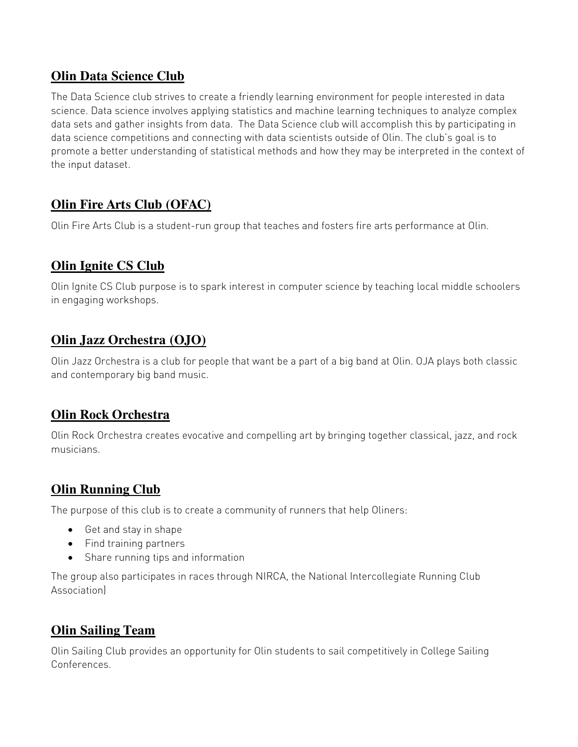# **Olin Data Science Club**

The Data Science club strives to create a friendly learning environment for people interested in data science. Data science involves applying statistics and machine learning techniques to analyze complex data sets and gather insights from data. The Data Science club will accomplish this by participating in data science competitions and connecting with data scientists outside of Olin. The club's goal is to promote a better understanding of statistical methods and how they may be interpreted in the context of the input dataset.

# **Olin Fire Arts Club (OFAC)**

Olin Fire Arts Club is a student-run group that teaches and fosters fire arts performance at Olin.

# **Olin Ignite CS Club**

Olin Ignite CS Club purpose is to spark interest in computer science by teaching local middle schoolers in engaging workshops.

# **Olin Jazz Orchestra (OJO)**

Olin Jazz Orchestra is a club for people that want be a part of a big band at Olin. OJA plays both classic and contemporary big band music.

#### **Olin Rock Orchestra**

Olin Rock Orchestra creates evocative and compelling art by bringing together classical, jazz, and rock musicians.

# **Olin Running Club**

The purpose of this club is to create a community of runners that help Oliners:

- Get and stay in shape
- Find training partners
- Share running tips and information

The group also participates in races through NIRCA, the National Intercollegiate Running Club Association)

#### **Olin Sailing Team**

Olin Sailing Club provides an opportunity for Olin students to sail competitively in College Sailing Conferences.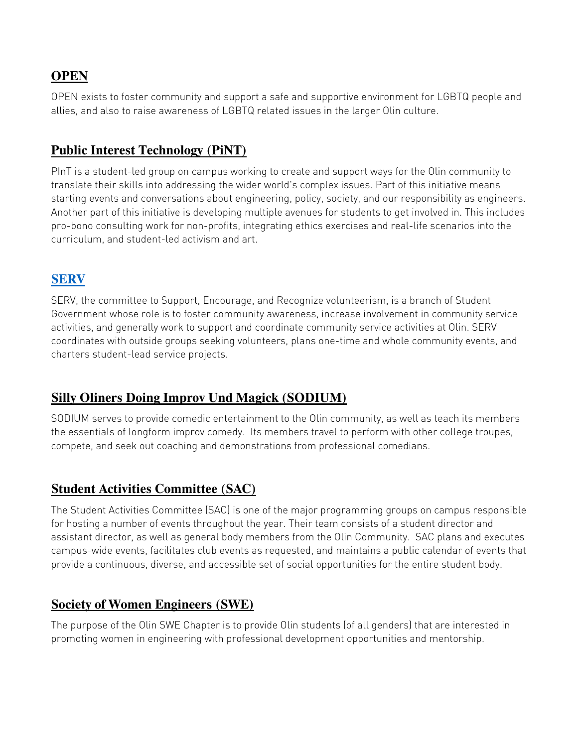# **OPEN**

OPEN exists to foster community and support a safe and supportive environment for LGBTQ people and allies, and also to raise awareness of LGBTQ related issues in the larger Olin culture.

#### **Public Interest Technology (PiNT)**

PInT is a student-led group on campus working to create and support ways for the Olin community to translate their skills into addressing the wider world's complex issues. Part of this initiative means starting events and conversations about engineering, policy, society, and our responsibility as engineers. Another part of this initiative is developing multiple avenues for students to get involved in. This includes pro-bono consulting work for non-profits, integrating ethics exercises and real-life scenarios into the curriculum, and student-led activism and art.

#### **[SERV](http://www.olin.edu/serv/)**

SERV, the committee to Support, Encourage, and Recognize volunteerism, is a branch of Student Government whose role is to foster community awareness, increase involvement in community service activities, and generally work to support and coordinate community service activities at Olin. SERV coordinates with outside groups seeking volunteers, plans one-time and whole community events, and charters student-lead service projects.

#### **Silly Oliners Doing Improv Und Magick (SODIUM)**

SODIUM serves to provide comedic entertainment to the Olin community, as well as teach its members the essentials of longform improv comedy. Its members travel to perform with other college troupes, compete, and seek out coaching and demonstrations from professional comedians.

#### **Student Activities Committee (SAC)**

The Student Activities Committee (SAC) is one of the major programming groups on campus responsible for hosting a number of events throughout the year. Their team consists of a student director and assistant director, as well as general body members from the Olin Community. SAC plans and executes campus-wide events, facilitates club events as requested, and maintains a public calendar of events that provide a continuous, diverse, and accessible set of social opportunities for the entire student body.

#### **Society of Women Engineers (SWE)**

The purpose of the Olin SWE Chapter is to provide Olin students (of all genders) that are interested in promoting women in engineering with professional development opportunities and mentorship.